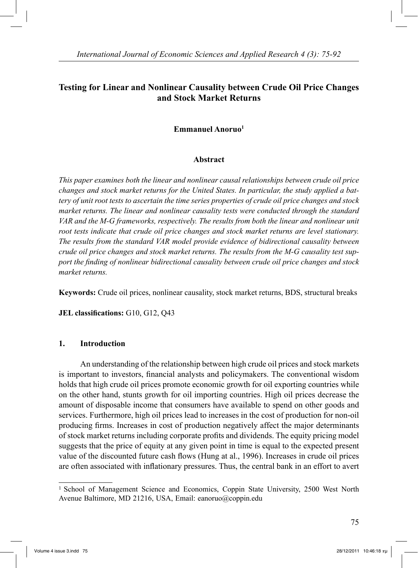# **Testing for Linear and Nonlinear Causality between Crude Oil Price Changes and Stock Market Returns**

## **Emmanuel Anoruo1**

## **Abstract**

*This paper examines both the linear and nonlinear causal relationships between crude oil price changes and stock market returns for the United States. In particular, the study applied a battery of unit root tests to ascertain the time series properties of crude oil price changes and stock market returns. The linear and nonlinear causality tests were conducted through the standard VAR and the M-G frameworks, respectively. The results from both the linear and nonlinear unit root tests indicate that crude oil price changes and stock market returns are level stationary. The results from the standard VAR model provide evidence of bidirectional causality between crude oil price changes and stock market returns. The results from the M-G causality test support the finding of nonlinear bidirectional causality between crude oil price changes and stock market returns.*

**Keywords:** Crude oil prices, nonlinear causality, stock market returns, BDS, structural breaks

**JEL classifications:** G10, G12, Q43

## **1. Introduction**

 An understanding of the relationship between high crude oil prices and stock markets is important to investors, financial analysts and policymakers. The conventional wisdom holds that high crude oil prices promote economic growth for oil exporting countries while on the other hand, stunts growth for oil importing countries. High oil prices decrease the amount of disposable income that consumers have available to spend on other goods and services. Furthermore, high oil prices lead to increases in the cost of production for non-oil producing firms. Increases in cost of production negatively affect the major determinants of stock market returns including corporate profits and dividends. The equity pricing model suggests that the price of equity at any given point in time is equal to the expected present value of the discounted future cash flows (Hung at al., 1996). Increases in crude oil prices are often associated with inflationary pressures. Thus, the central bank in an effort to avert

<sup>&</sup>lt;sup>1</sup> School of Management Science and Economics, Coppin State University, 2500 West North Avenue Baltimore, MD 21216, USA, Email: eanoruo@coppin.edu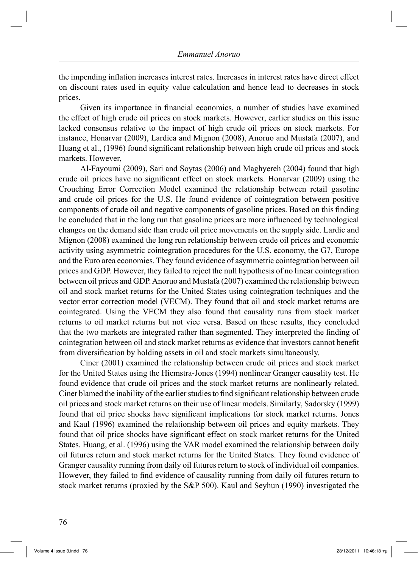the impending inflation increases interest rates. Increases in interest rates have direct effect on discount rates used in equity value calculation and hence lead to decreases in stock prices.

 Given its importance in financial economics, a number of studies have examined the effect of high crude oil prices on stock markets. However, earlier studies on this issue lacked consensus relative to the impact of high crude oil prices on stock markets. For instance, Honarvar (2009), Lardica and Mignon (2008), Anoruo and Mustafa (2007), and Huang et al., (1996) found significant relationship between high crude oil prices and stock markets. However,

 Al-Fayoumi (2009), Sari and Soytas (2006) and Maghyereh (2004) found that high crude oil prices have no significant effect on stock markets. Honarvar (2009) using the Crouching Error Correction Model examined the relationship between retail gasoline and crude oil prices for the U.S. He found evidence of cointegration between positive components of crude oil and negative components of gasoline prices. Based on this finding he concluded that in the long run that gasoline prices are more influenced by technological changes on the demand side than crude oil price movements on the supply side. Lardic and Mignon (2008) examined the long run relationship between crude oil prices and economic activity using asymmetric cointegration procedures for the U.S. economy, the G7, Europe and the Euro area economies. They found evidence of asymmetric cointegration between oil prices and GDP. However, they failed to reject the null hypothesis of no linear cointegration between oil prices and GDP. Anoruo and Mustafa (2007) examined the relationship between oil and stock market returns for the United States using cointegration techniques and the vector error correction model (VECM). They found that oil and stock market returns are cointegrated. Using the VECM they also found that causality runs from stock market returns to oil market returns but not vice versa. Based on these results, they concluded that the two markets are integrated rather than segmented. They interpreted the finding of cointegration between oil and stock market returns as evidence that investors cannot benefit from diversification by holding assets in oil and stock markets simultaneously.

 Ciner (2001) examined the relationship between crude oil prices and stock market for the United States using the Hiemstra-Jones (1994) nonlinear Granger causality test. He found evidence that crude oil prices and the stock market returns are nonlinearly related. Ciner blamed the inability of the earlier studies to find significant relationship between crude oil prices and stock market returns on their use of linear models. Similarly, Sadorsky (1999) found that oil price shocks have significant implications for stock market returns. Jones and Kaul (1996) examined the relationship between oil prices and equity markets. They found that oil price shocks have significant effect on stock market returns for the United States. Huang, et al. (1996) using the VAR model examined the relationship between daily oil futures return and stock market returns for the United States. They found evidence of Granger causality running from daily oil futures return to stock of individual oil companies. However, they failed to find evidence of causality running from daily oil futures return to stock market returns (proxied by the S&P 500). Kaul and Seyhun (1990) investigated the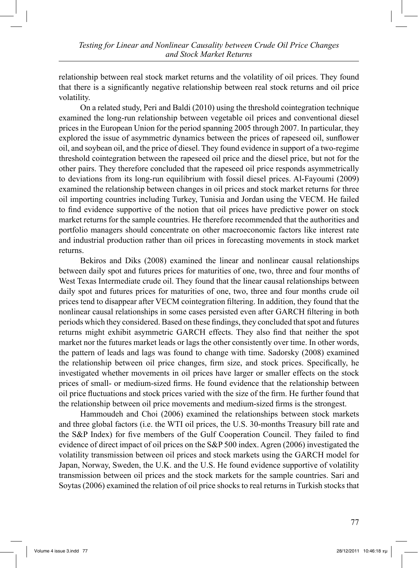relationship between real stock market returns and the volatility of oil prices. They found that there is a significantly negative relationship between real stock returns and oil price volatility.

 On a related study, Peri and Baldi (2010) using the threshold cointegration technique examined the long-run relationship between vegetable oil prices and conventional diesel prices in the European Union for the period spanning 2005 through 2007. In particular, they explored the issue of asymmetric dynamics between the prices of rapeseed oil, sunflower oil, and soybean oil, and the price of diesel. They found evidence in support of a two-regime threshold cointegration between the rapeseed oil price and the diesel price, but not for the other pairs. They therefore concluded that the rapeseed oil price responds asymmetrically to deviations from its long-run equilibrium with fossil diesel prices. Al-Fayoumi (2009) examined the relationship between changes in oil prices and stock market returns for three oil importing countries including Turkey, Tunisia and Jordan using the VECM. He failed to find evidence supportive of the notion that oil prices have predictive power on stock market returns for the sample countries. He therefore recommended that the authorities and portfolio managers should concentrate on other macroeconomic factors like interest rate and industrial production rather than oil prices in forecasting movements in stock market returns.

 Bekiros and Diks (2008) examined the linear and nonlinear causal relationships between daily spot and futures prices for maturities of one, two, three and four months of West Texas Intermediate crude oil. They found that the linear causal relationships between daily spot and futures prices for maturities of one, two, three and four months crude oil prices tend to disappear after VECM cointegration filtering. In addition, they found that the nonlinear causal relationships in some cases persisted even after GARCH filtering in both periods which they considered. Based on these findings, they concluded that spot and futures returns might exhibit asymmetric GARCH effects. They also find that neither the spot market nor the futures market leads or lags the other consistently over time. In other words, the pattern of leads and lags was found to change with time. Sadorsky (2008) examined the relationship between oil price changes, firm size, and stock prices. Specifically, he investigated whether movements in oil prices have larger or smaller effects on the stock prices of small- or medium-sized firms. He found evidence that the relationship between oil price fluctuations and stock prices varied with the size of the firm. He further found that the relationship between oil price movements and medium-sized firms is the strongest.

 Hammoudeh and Choi (2006) examined the relationships between stock markets and three global factors (i.e. the WTI oil prices, the U.S. 30-months Treasury bill rate and the S&P Index) for five members of the Gulf Cooperation Council. They failed to find evidence of direct impact of oil prices on the S&P 500 index. Agren (2006) investigated the volatility transmission between oil prices and stock markets using the GARCH model for Japan, Norway, Sweden, the U.K. and the U.S. He found evidence supportive of volatility transmission between oil prices and the stock markets for the sample countries. Sari and Soytas (2006) examined the relation of oil price shocks to real returns in Turkish stocks that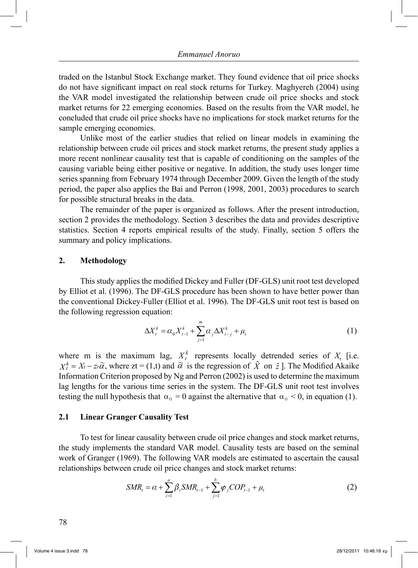traded on the Istanbul Stock Exchange market. They found evidence that oil price shocks do not have significant impact on real stock returns for Turkey. Maghyereh (2004) using the VAR model investigated the relationship between crude oil price shocks and stock market returns for 22 emerging economies. Based on the results from the VAR model, he concluded that crude oil price shocks have no implications for stock market returns for the sample emerging economies.

 Unlike most of the earlier studies that relied on linear models in examining the relationship between crude oil prices and stock market returns, the present study applies a more recent nonlinear causality test that is capable of conditioning on the samples of the causing variable being either positive or negative. In addition, the study uses longer time series spanning from February 1974 through December 2009. Given the length of the study period, the paper also applies the Bai and Perron (1998, 2001, 2003) procedures to search for possible structural breaks in the data.

 The remainder of the paper is organized as follows. After the present introduction, section 2 provides the methodology. Section 3 describes the data and provides descriptive statistics. Section 4 reports empirical results of the study. Finally, section 5 offers the summary and policy implications.

### **2. Methodology**

 This study applies the modified Dickey and Fuller (DF-GLS) unit root test developed by Elliot et al. (1996). The DF-GLS procedure has been shown to have better power than the conventional Dickey-Fuller (Elliot et al. 1996). The DF-GLS unit root test is based on the following regression equation:

$$
\Delta X_t^k = \alpha_0 X_{t-1}^k + \sum_{j=1}^m \alpha_j \Delta X_{t-j}^k + \mu_t
$$
\n(1)

where m is the maximum lag,  $X_t^k$  represents locally detrended series of  $X_t$  [i.e.  $X_t^k = X_t - z_t\tilde{\alpha}$ , where  $zt = (1,t)$  and  $\tilde{\alpha}$  is the regression of  $\hat{X}$  on  $\hat{z}$ ]. The Modified Akaike Information Criterion proposed by Ng and Perron (2002) is used to determine the maximum lag lengths for the various time series in the system. The DF-GLS unit root test involves testing the null hypothesis that  $\alpha_0 = 0$  against the alternative that  $\alpha_0 < 0$ , in equation (1).

#### **2.1 Linear Granger Causality Test**

 To test for linear causality between crude oil price changes and stock market returns, the study implements the standard VAR model. Causality tests are based on the seminal work of Granger (1969). The following VAR models are estimated to ascertain the causal relationships between crude oil price changes and stock market returns:

$$
SMR_t = \alpha + \sum_{i=1}^{a} \beta_i SMR_{t-1} + \sum_{j=1}^{b} \varphi_j COP_{t-1} + \mu_t
$$
 (2)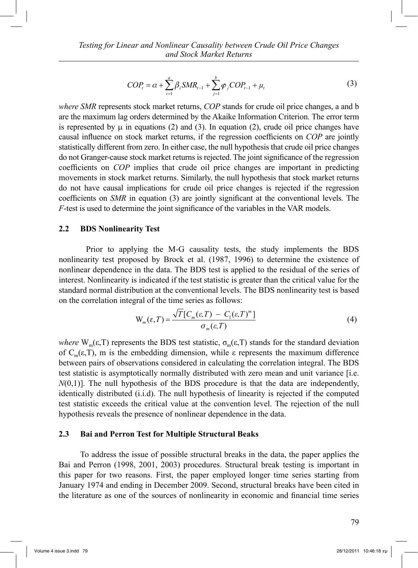$$
COP_{t} = \alpha + \sum_{i=1}^{a} \beta_{i} SMR_{t-1} + \sum_{j=1}^{b} \varphi_{j} COP_{t-1} + \mu_{t}
$$
\n(3)

*where SMR* represents stock market returns, *COP* stands for crude oil price changes, a and b are the maximum lag orders determined by the Akaike Information Criterion. The error term is represented by  $\mu$  in equations (2) and (3). In equation (2), crude oil price changes have causal influence on stock market returns, if the regression coefficients on *COP* are jointly statistically different from zero. In either case, the null hypothesis that crude oil price changes do not Granger-cause stock market returns is rejected. The joint significance of the regression coefficients on *COP* implies that crude oil price changes are important in predicting movements in stock market returns. Similarly, the null hypothesis that stock market returns do not have causal implications for crude oil price changes is rejected if the regression coefficients on *SMR* in equation (3) are jointly significant at the conventional levels. The *F*-test is used to determine the joint significance of the variables in the VAR models.

## **2.2 BDS Nonlinearity Test**

 Prior to applying the M-G causality tests, the study implements the BDS nonlinearity test proposed by Brock et al. (1987, 1996) to determine the existence of nonlinear dependence in the data. The BDS test is applied to the residual of the series of interest. Nonlinearity is indicated if the test statistic is greater than the critical value for the standard normal distribution at the conventional levels. The BDS nonlinearity test is based on the correlation integral of the time series as follows:

$$
W_m(\varepsilon,T) = \frac{\sqrt{T} [C_m(\varepsilon,T) - C_1(\varepsilon,T)^m]}{\sigma_m(\varepsilon,T)}
$$
(4)

*where*  $W_m(\epsilon, T)$  represents the BDS test statistic,  $\sigma_m(\epsilon, T)$  stands for the standard deviation of C<sub>m</sub>(ε,T), m is the embedding dimension, while ε represents the maximum difference between pairs of observations considered in calculating the correlation integral. The BDS test statistic is asymptotically normally distributed with zero mean and unit variance [i.e.  $N(0,1)$ ]. The null hypothesis of the BDS procedure is that the data are independently, identically distributed (i.i.d). The null hypothesis of linearity is rejected if the computed test statistic exceeds the critical value at the convention level. The rejection of the null hypothesis reveals the presence of nonlinear dependence in the data.

## **2.3 Bai and Perron Test for Multiple Structural Beaks**

 To address the issue of possible structural breaks in the data, the paper applies the Bai and Perron (1998, 2001, 2003) procedures. Structural break testing is important in this paper for two reasons. First, the paper employed longer time series starting from January 1974 and ending in December 2009. Second, structural breaks have been cited in the literature as one of the sources of nonlinearity in economic and financial time series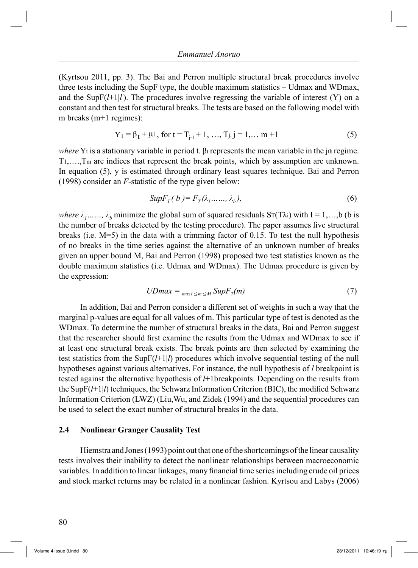(Kyrtsou 2011, pp. 3). The Bai and Perron multiple structural break procedures involve three tests including the SupF type, the double maximum statistics – Udmax and WDmax, and the SupF $(l+1)$ . The procedures involve regressing the variable of interest (Y) on a constant and then test for structural breaks. The tests are based on the following model with m breaks (m+1 regimes):

$$
Y_t = \beta_t + \mu t, \text{ for } t = T_{j-1} + 1, ..., T_j, j = 1, ..., m + 1
$$
 (5)

*where*  $Y_t$  is a stationary variable in period t.  $\beta_t$  represents the mean variable in the jth regime. T1,….,Tm are indices that represent the break points, which by assumption are unknown. In equation (5), y is estimated through ordinary least squares technique. Bai and Perron (1998) consider an *F*-statistic of the type given below:

$$
SupF_T(b) = F_T(\lambda_1, \dots, \lambda_b),\tag{6}
$$

*where*  $\lambda_1$ ……,  $\lambda_b$  minimize the global sum of squared residuals ST(T $\lambda$ i) with I = 1,…,b (b is the number of breaks detected by the testing procedure). The paper assumes five structural breaks (i.e. M=5) in the data with a trimming factor of 0.15. To test the null hypothesis of no breaks in the time series against the alternative of an unknown number of breaks given an upper bound M, Bai and Perron (1998) proposed two test statistics known as the double maximum statistics (i.e. Udmax and WDmax). The Udmax procedure is given by the expression:

$$
UDmax = \max_{max1 \le m \le M} SupF_{T}(m) \tag{7}
$$

 In addition, Bai and Perron consider a different set of weights in such a way that the marginal p-values are equal for all values of m. This particular type of test is denoted as the WDmax. To determine the number of structural breaks in the data, Bai and Perron suggest that the researcher should first examine the results from the Udmax and WDmax to see if at least one structural break exists. The break points are then selected by examining the test statistics from the SupF(*l*+1|*l*) procedures which involve sequential testing of the null hypotheses against various alternatives. For instance, the null hypothesis of *l* breakpoint is tested against the alternative hypothesis of *l*+1breakpoints. Depending on the results from the SupF(*l*+1|*l*) techniques, the Schwarz Information Criterion (BIC), the modified Schwarz Information Criterion (LWZ) (Liu,Wu, and Zidek (1994) and the sequential procedures can be used to select the exact number of structural breaks in the data.

#### **2.4 Nonlinear Granger Causality Test**

 Hiemstra and Jones (1993) point out that one of the shortcomings of the linear causality tests involves their inability to detect the nonlinear relationships between macroeconomic variables. In addition to linear linkages, many financial time series including crude oil prices and stock market returns may be related in a nonlinear fashion. Kyrtsou and Labys (2006)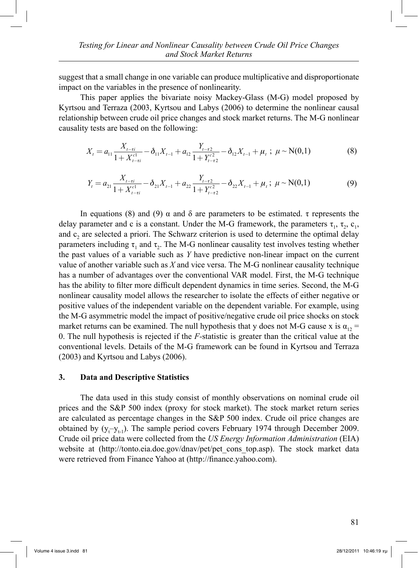suggest that a small change in one variable can produce multiplicative and disproportionate impact on the variables in the presence of nonlinearity.

This paper applies the bivariate noisy Mackey-Glass (M-G) model proposed by Kyrtsou and Terraza (2003, Kyrtsou and Labys (2006) to determine the nonlinear causal relationship between crude oil price changes and stock market returns. The M-G nonlinear causality tests are based on the following:

$$
X_{t} = a_{11} \frac{X_{t-\tau i}}{1+X_{t-\tau i}^{c1}} - \delta_{11} X_{t-1} + a_{12} \frac{Y_{t-\tau 2}}{1+Y_{t-\tau 2}^{c2}} - \delta_{12} X_{t-1} + \mu_{t} ; \ \mu \sim N(0,1)
$$
(8)

$$
Y_{t} = a_{21} \frac{X_{t-\tau i}}{1+X_{t-\tau i}^{\text{cl}}} - \delta_{21} X_{t-1} + a_{22} \frac{Y_{t-\tau 2}}{1+Y_{t-\tau 2}^{\text{cl}}} - \delta_{22} X_{t-1} + \mu_{t}; \ \mu \sim N(0,1)
$$
(9)

In equations (8) and (9)  $\alpha$  and δ are parameters to be estimated. τ represents the delay parameter and c is a constant. Under the M-G framework, the parameters  $\tau_1$ ,  $\tau_2$ ,  $\tau_3$ ,  $\tau_4$ , and  $c<sub>2</sub>$  are selected a priori. The Schwarz criterion is used to determine the optimal delay parameters including  $\tau_1$  and  $\tau_2$ . The M-G nonlinear causality test involves testing whether the past values of a variable such as *Y* have predictive non-linear impact on the current value of another variable such as *X* and vice versa. The M-G nonlinear causality technique has a number of advantages over the conventional VAR model. First, the M-G technique has the ability to filter more difficult dependent dynamics in time series. Second, the M-G nonlinear causality model allows the researcher to isolate the effects of either negative or positive values of the independent variable on the dependent variable. For example, using the M-G asymmetric model the impact of positive/negative crude oil price shocks on stock market returns can be examined. The null hypothesis that y does not M-G cause x is  $\alpha_{12}$  = 0. The null hypothesis is rejected if the *F-*statistic is greater than the critical value at the conventional levels. Details of the M-G framework can be found in Kyrtsou and Terraza (2003) and Kyrtsou and Labys (2006).

#### **3. Data and Descriptive Statistics**

 The data used in this study consist of monthly observations on nominal crude oil prices and the S&P 500 index (proxy for stock market). The stock market return series are calculated as percentage changes in the S&P 500 index. Crude oil price changes are obtained by  $(y_t - y_{t-1})$ . The sample period covers February 1974 through December 2009. Crude oil price data were collected from the *US Energy Information Administration* (EIA) website at (http://tonto.eia.doe.gov/dnav/pet/pet cons top.asp). The stock market data were retrieved from Finance Yahoo at (http://finance.yahoo.com).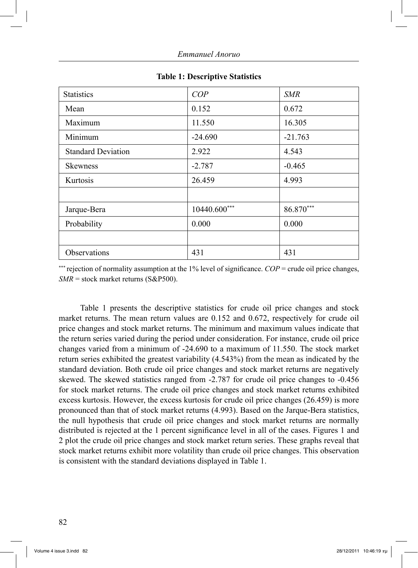| <b>Statistics</b>         | COP          | <b>SMR</b> |
|---------------------------|--------------|------------|
| Mean                      | 0.152        | 0.672      |
| Maximum                   | 11.550       | 16.305     |
| Minimum                   | $-24.690$    | $-21.763$  |
| <b>Standard Deviation</b> | 2.922        | 4.543      |
| <b>Skewness</b>           | $-2.787$     | $-0.465$   |
| Kurtosis                  | 26.459       | 4.993      |
|                           |              |            |
| Jarque-Bera               | 10440.600*** | 86.870***  |
| Probability               | 0.000        | 0.000      |
|                           |              |            |
| Observations              | 431          | 431        |

#### **Table 1: Descriptive Statistics**

\*\*\* rejection of normality assumption at the 1% level of significance. *COP* = crude oil price changes, *SMR* = stock market returns (S&P500).

 Table 1 presents the descriptive statistics for crude oil price changes and stock market returns. The mean return values are 0.152 and 0.672, respectively for crude oil price changes and stock market returns. The minimum and maximum values indicate that the return series varied during the period under consideration. For instance, crude oil price changes varied from a minimum of -24.690 to a maximum of 11.550. The stock market return series exhibited the greatest variability (4.543%) from the mean as indicated by the standard deviation. Both crude oil price changes and stock market returns are negatively skewed. The skewed statistics ranged from -2.787 for crude oil price changes to -0.456 for stock market returns. The crude oil price changes and stock market returns exhibited excess kurtosis. However, the excess kurtosis for crude oil price changes (26.459) is more pronounced than that of stock market returns (4.993). Based on the Jarque-Bera statistics, the null hypothesis that crude oil price changes and stock market returns are normally distributed is rejected at the 1 percent significance level in all of the cases. Figures 1 and 2 plot the crude oil price changes and stock market return series. These graphs reveal that stock market returns exhibit more volatility than crude oil price changes. This observation is consistent with the standard deviations displayed in Table 1.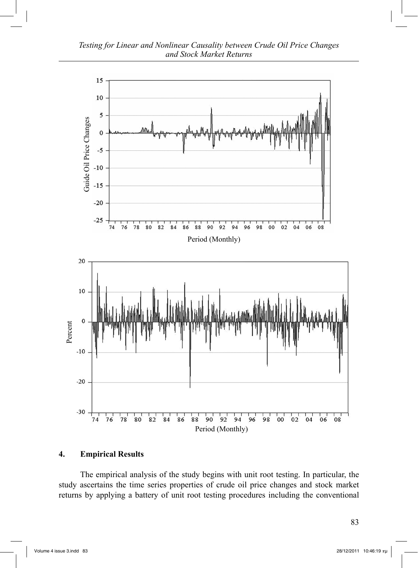*Testing for Linear and Nonlinear Causality between Crude Oil Price Changes and Stock Market Returns*



## **4. Empirical Results**

 The empirical analysis of the study begins with unit root testing. In particular, the study ascertains the time series properties of crude oil price changes and stock market returns by applying a battery of unit root testing procedures including the conventional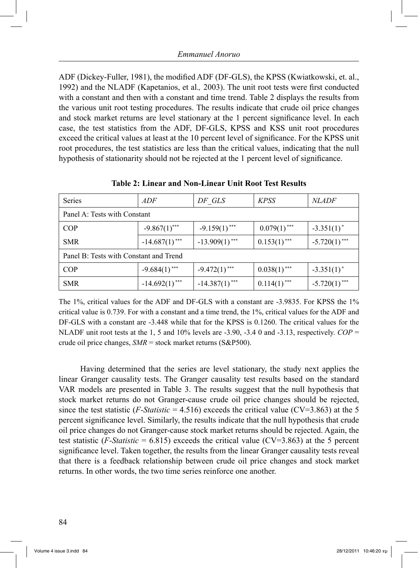ADF (Dickey-Fuller, 1981), the modified ADF (DF-GLS), the KPSS (Kwiatkowski, et. al., 1992) and the NLADF (Kapetanios, et al.*,* 2003). The unit root tests were first conducted with a constant and then with a constant and time trend. Table 2 displays the results from the various unit root testing procedures. The results indicate that crude oil price changes and stock market returns are level stationary at the 1 percent significance level. In each case, the test statistics from the ADF, DF-GLS, KPSS and KSS unit root procedures exceed the critical values at least at the 10 percent level of significance. For the KPSS unit root procedures, the test statistics are less than the critical values, indicating that the null hypothesis of stationarity should not be rejected at the 1 percent level of significance.

| Series                                 | ADF              | DF GLS           | <b>KPSS</b>    | <i>NLADF</i>    |
|----------------------------------------|------------------|------------------|----------------|-----------------|
| Panel A: Tests with Constant           |                  |                  |                |                 |
| <b>COP</b>                             | $-9.867(1)$ ***  | $-9.159(1)$ ***  | $0.079(1)$ *** | $-3.351(1)^*$   |
| <b>SMR</b>                             | $-14.687(1)$ *** | $-13.909(1)$ *** | $0.153(1)$ *** | $-5.720(1)$ *** |
| Panel B: Tests with Constant and Trend |                  |                  |                |                 |
| <b>COP</b>                             | $-9.684(1)$ ***  | $-9.472(1)$ ***  | $0.038(1)$ *** | $-3.351(1)^*$   |
| <b>SMR</b>                             | $-14.692(1)$ *** | $-14.387(1)$ *** | $0.114(1)$ *** | $-5.720(1)$ *** |

**Table 2: Linear and Non-Linear Unit Root Test Results**

The 1%, critical values for the ADF and DF-GLS with a constant are -3.9835. For KPSS the 1% critical value is 0.739. For with a constant and a time trend, the 1%, critical values for the ADF and DF-GLS with a constant are -3.448 while that for the KPSS is 0.1260. The critical values for the NLADF unit root tests at the 1, 5 and 10% levels are  $-3.90$ ,  $-3.40$  and  $-3.13$ , respectively.  $COP =$ crude oil price changes, *SMR* = stock market returns (S&P500).

 Having determined that the series are level stationary, the study next applies the linear Granger causality tests. The Granger causality test results based on the standard VAR models are presented in Table 3. The results suggest that the null hypothesis that stock market returns do not Granger-cause crude oil price changes should be rejected, since the test statistic  $(F\text{-}Statistics = 4.516)$  exceeds the critical value  $(CV=3.863)$  at the 5 percent significance level. Similarly, the results indicate that the null hypothesis that crude oil price changes do not Granger-cause stock market returns should be rejected. Again, the test statistic  $(F\text{-}Statistic = 6.815)$  exceeds the critical value  $(CV=3.863)$  at the 5 percent significance level. Taken together, the results from the linear Granger causality tests reveal that there is a feedback relationship between crude oil price changes and stock market returns. In other words, the two time series reinforce one another.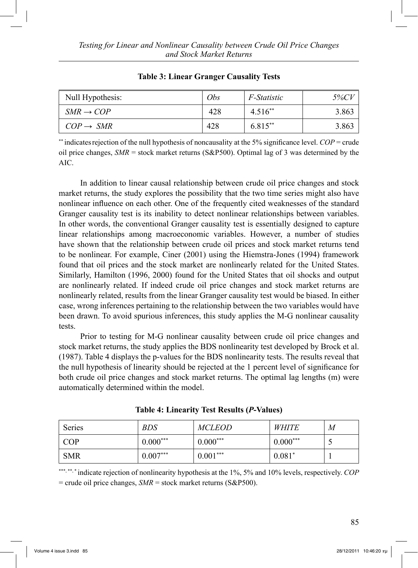| Null Hypothesis:      | Obs | <i>F-Statistic</i> | <i>5%CV</i> |
|-----------------------|-----|--------------------|-------------|
| $SMR \rightarrow COP$ | 428 | $4.516**$          | 3.863       |
| $COP \rightarrow SMR$ | 428 | 6.815**            | 3.863       |

## **Table 3: Linear Granger Causality Tests**

\*\* indicatesrejection of the null hypothesis of noncausality at the 5% significance level. *COP* = crude oil price changes, *SMR* = stock market returns (S&P500). Optimal lag of 3 was determined by the AIC.

 In addition to linear causal relationship between crude oil price changes and stock market returns, the study explores the possibility that the two time series might also have nonlinear influence on each other. One of the frequently cited weaknesses of the standard Granger causality test is its inability to detect nonlinear relationships between variables. In other words, the conventional Granger causality test is essentially designed to capture linear relationships among macroeconomic variables. However, a number of studies have shown that the relationship between crude oil prices and stock market returns tend to be nonlinear. For example, Ciner (2001) using the Hiemstra-Jones (1994) framework found that oil prices and the stock market are nonlinearly related for the United States. Similarly, Hamilton (1996, 2000) found for the United States that oil shocks and output are nonlinearly related. If indeed crude oil price changes and stock market returns are nonlinearly related, results from the linear Granger causality test would be biased. In either case, wrong inferences pertaining to the relationship between the two variables would have been drawn. To avoid spurious inferences, this study applies the M-G nonlinear causality tests.

 Prior to testing for M-G nonlinear causality between crude oil price changes and stock market returns, the study applies the BDS nonlinearity test developed by Brock et al. (1987). Table 4 displays the p-values for the BDS nonlinearity tests. The results reveal that the null hypothesis of linearity should be rejected at the 1 percent level of significance for both crude oil price changes and stock market returns. The optimal lag lengths (m) were automatically determined within the model.

| <b>Series</b> | <b>BDS</b> | <i>MCLEOD</i> | <i>WHITE</i> | M |
|---------------|------------|---------------|--------------|---|
| <b>COP</b>    | $0.000***$ | $0.000***$    | $0.000***$   | ັ |
| <b>SMR</b>    | $0.007***$ | $0.001***$    | $0.081*$     |   |

\*\*\*, \*\*, \* indicate rejection of nonlinearity hypothesis at the 1%, 5% and 10% levels, respectively. *COP* = crude oil price changes, *SMR* = stock market returns (S&P500).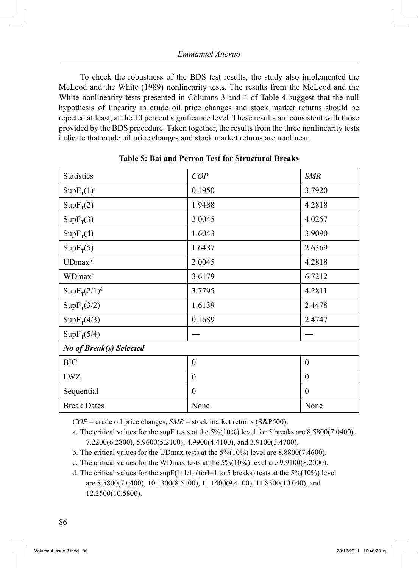To check the robustness of the BDS test results, the study also implemented the McLeod and the White (1989) nonlinearity tests. The results from the McLeod and the White nonlinearity tests presented in Columns 3 and 4 of Table 4 suggest that the null hypothesis of linearity in crude oil price changes and stock market returns should be rejected at least, at the 10 percent significance level. These results are consistent with those provided by the BDS procedure. Taken together, the results from the three nonlinearity tests indicate that crude oil price changes and stock market returns are nonlinear.

| <b>Statistics</b>         | COP              | <b>SMR</b>       |  |
|---------------------------|------------------|------------------|--|
| $SupF_{T}(1)^{a}$         | 0.1950           | 3.7920           |  |
| $SupF_T(2)$               | 1.9488           | 4.2818           |  |
| $SupF_{T}(3)$             | 2.0045           | 4.0257           |  |
| $SupF_{T}(4)$             | 1.6043           | 3.9090           |  |
| $SupF_{T}(5)$             | 1.6487           | 2.6369           |  |
| UDmax <sup>b</sup>        | 2.0045           | 4.2818           |  |
| <b>WDmax</b> <sup>c</sup> | 3.6179           | 6.7212           |  |
| $SupF_T(2/1)d$            | 3.7795           | 4.2811           |  |
| $SupF_{T}(3/2)$           | 1.6139           | 2.4478           |  |
| $SupF_{T}(4/3)$           | 0.1689           | 2.4747           |  |
| $SupF_{T}(5/4)$           |                  |                  |  |
| No of Break(s) Selected   |                  |                  |  |
| <b>BIC</b>                | $\boldsymbol{0}$ | $\boldsymbol{0}$ |  |
| <b>LWZ</b>                | $\theta$         | $\mathbf{0}$     |  |
| Sequential                | $\boldsymbol{0}$ | $\boldsymbol{0}$ |  |
| <b>Break Dates</b>        | None             | None             |  |

## **Table 5: Bai and Perron Test for Structural Breaks**

 $COP =$  crude oil price changes,  $SMR =$  stock market returns ( $S&P500$ ).

a. The critical values for the supF tests at the  $5\frac{6}{10\%}$  level for 5 breaks are 8.5800(7.0400), 7.2200(6.2800), 5.9600(5.2100), 4.9900(4.4100), and 3.9100(3.4700).

b. The critical values for the UDmax tests at the 5%(10%) level are 8.8800(7.4600).

c. The critical values for the WDmax tests at the 5%(10%) level are 9.9100(8.2000).

d. The critical values for the supF $(1+1/1)$  (for let 1 to 5 breaks) tests at the 5% $(10\%)$  level are 8.5800(7.0400), 10.1300(8.5100), 11.1400(9.4100), 11.8300(10.040), and 12.2500(10.5800).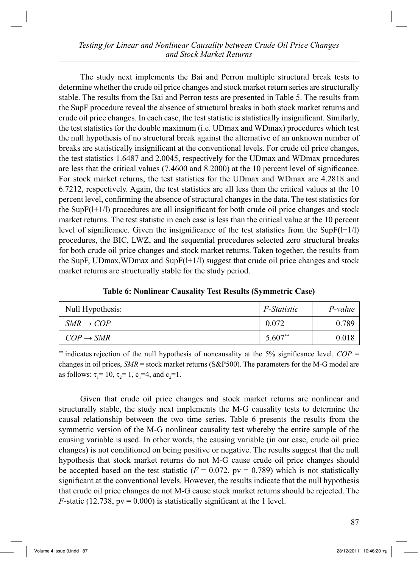The study next implements the Bai and Perron multiple structural break tests to determine whether the crude oil price changes and stock market return series are structurally stable. The results from the Bai and Perron tests are presented in Table 5. The results from the SupF procedure reveal the absence of structural breaks in both stock market returns and crude oil price changes. In each case, the test statistic is statistically insignificant. Similarly, the test statistics for the double maximum (i.e. UDmax and WDmax) procedures which test the null hypothesis of no structural break against the alternative of an unknown number of breaks are statistically insignificant at the conventional levels. For crude oil price changes, the test statistics 1.6487 and 2.0045, respectively for the UDmax and WDmax procedures are less that the critical values (7.4600 and 8.2000) at the 10 percent level of significance. For stock market returns, the test statistics for the UDmax and WDmax are 4.2818 and 6.7212, respectively. Again, the test statistics are all less than the critical values at the 10 percent level, confirming the absence of structural changes in the data. The test statistics for the SupF(l+1/l) procedures are all insignificant for both crude oil price changes and stock market returns. The test statistic in each case is less than the critical value at the 10 percent level of significance. Given the insignificance of the test statistics from the  $SupF(I+1/I)$ procedures, the BIC, LWZ, and the sequential procedures selected zero structural breaks for both crude oil price changes and stock market returns. Taken together, the results from the SupF, UDmax,WDmax and SupF(l+1/l) suggest that crude oil price changes and stock market returns are structurally stable for the study period.

**Table 6: Nonlinear Causality Test Results (Symmetric Case)**

| Null Hypothesis:      | <i>F-Statistic</i> | P-value |
|-----------------------|--------------------|---------|
| $SMR \rightarrow COP$ | 0.072              | 0.789   |
| $COP \rightarrow SMR$ | $5.607**$          | 0.018   |

\*\* indicates rejection of the null hypothesis of noncausality at the 5% significance level. *COP* = changes in oil prices, *SMR* = stock market returns (S&P500). The parameters for the M-G model are as follows:  $\tau_1 = 10$ ,  $\tau_2 = 1$ ,  $c_1 = 4$ , and  $c_2 = 1$ .

 Given that crude oil price changes and stock market returns are nonlinear and structurally stable, the study next implements the M-G causality tests to determine the causal relationship between the two time series. Table 6 presents the results from the symmetric version of the M-G nonlinear causality test whereby the entire sample of the causing variable is used. In other words, the causing variable (in our case, crude oil price changes) is not conditioned on being positive or negative. The results suggest that the null hypothesis that stock market returns do not M-G cause crude oil price changes should be accepted based on the test statistic  $(F = 0.072, pv = 0.789)$  which is not statistically significant at the conventional levels. However, the results indicate that the null hypothesis that crude oil price changes do not M-G cause stock market returns should be rejected. The *F*-static (12.738,  $pv = 0.000$ ) is statistically significant at the 1 level.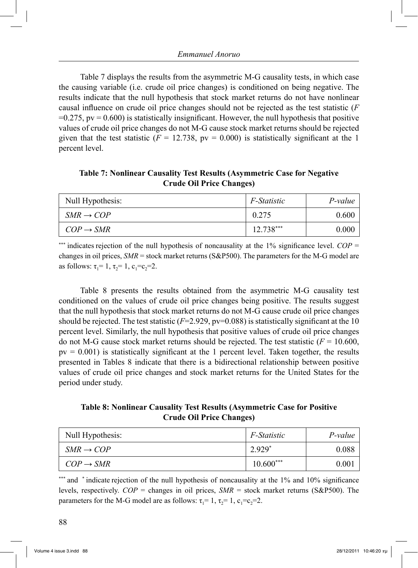Table 7 displays the results from the asymmetric M-G causality tests, in which case the causing variable (i.e. crude oil price changes) is conditioned on being negative. The results indicate that the null hypothesis that stock market returns do not have nonlinear causal influence on crude oil price changes should not be rejected as the test statistic (*F*  $=0.275$ ,  $pv = 0.600$ ) is statistically insignificant. However, the null hypothesis that positive values of crude oil price changes do not M-G cause stock market returns should be rejected given that the test statistic ( $F = 12.738$ ,  $pv = 0.000$ ) is statistically significant at the 1 percent level.

**Table 7: Nonlinear Causality Test Results (Asymmetric Case for Negative Crude Oil Price Changes)**

| Null Hypothesis:      | <i>F-Statistic</i> | P-value |
|-----------------------|--------------------|---------|
| $SMR \rightarrow COP$ | 0.275              | 0.600   |
| $COP \rightarrow SMR$ | 12.738***          | 0.000   |

\*\*\* indicates rejection of the null hypothesis of noncausality at the 1% significance level.  $COP =$ changes in oil prices, *SMR* = stock market returns (S&P500). The parameters for the M-G model are as follows:  $\tau_1 = 1$ ,  $\tau_2 = 1$ ,  $c_1 = c_2 = 2$ .

 Table 8 presents the results obtained from the asymmetric M-G causality test conditioned on the values of crude oil price changes being positive. The results suggest that the null hypothesis that stock market returns do not M-G cause crude oil price changes should be rejected. The test statistic  $(F=2.929, pv=0.088)$  is statistically significant at the 10 percent level. Similarly, the null hypothesis that positive values of crude oil price changes do not M-G cause stock market returns should be rejected. The test statistic  $(F = 10.600,$  $pv = 0.001$ ) is statistically significant at the 1 percent level. Taken together, the results presented in Tables 8 indicate that there is a bidirectional relationship between positive values of crude oil price changes and stock market returns for the United States for the period under study.

**Table 8: Nonlinear Causality Test Results (Asymmetric Case for Positive Crude Oil Price Changes)**

| Null Hypothesis:      | <i>F-Statistic</i> | $P$ -value |
|-----------------------|--------------------|------------|
| $SMR \rightarrow COP$ | 2.929*             | 0.088      |
| $COP \rightarrow SMR$ | $10.600***$        | 0.001      |

\*\*\*\*\*\*\* and \*indicate rejection of the null hypothesis of noncausality at the 1% and 10% significance levels, respectively. *COP* = changes in oil prices, *SMR* = stock market returns (S&P500). The parameters for the M-G model are as follows:  $\tau_1 = 1$ ,  $\tau_2 = 1$ ,  $c_1 = c_2 = 2$ .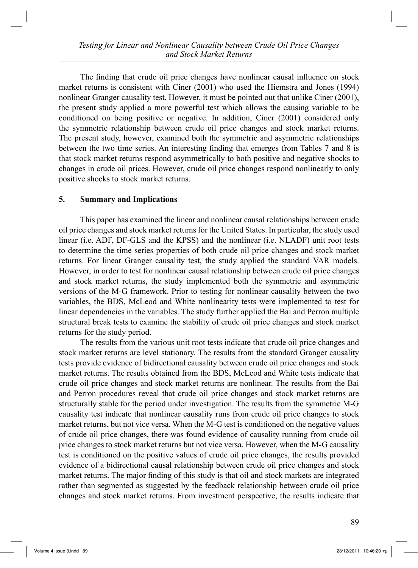The finding that crude oil price changes have nonlinear causal influence on stock market returns is consistent with Ciner (2001) who used the Hiemstra and Jones (1994) nonlinear Granger causality test. However, it must be pointed out that unlike Ciner (2001), the present study applied a more powerful test which allows the causing variable to be conditioned on being positive or negative. In addition, Ciner (2001) considered only the symmetric relationship between crude oil price changes and stock market returns. The present study, however, examined both the symmetric and asymmetric relationships between the two time series. An interesting finding that emerges from Tables 7 and 8 is that stock market returns respond asymmetrically to both positive and negative shocks to changes in crude oil prices. However, crude oil price changes respond nonlinearly to only positive shocks to stock market returns.

## **5. Summary and Implications**

 This paper has examined the linear and nonlinear causal relationships between crude oil price changes and stock market returns for the United States. In particular, the study used linear (i.e. ADF, DF-GLS and the KPSS) and the nonlinear (i.e. NLADF) unit root tests to determine the time series properties of both crude oil price changes and stock market returns. For linear Granger causality test, the study applied the standard VAR models. However, in order to test for nonlinear causal relationship between crude oil price changes and stock market returns, the study implemented both the symmetric and asymmetric versions of the M-G framework. Prior to testing for nonlinear causality between the two variables, the BDS, McLeod and White nonlinearity tests were implemented to test for linear dependencies in the variables. The study further applied the Bai and Perron multiple structural break tests to examine the stability of crude oil price changes and stock market returns for the study period.

 The results from the various unit root tests indicate that crude oil price changes and stock market returns are level stationary. The results from the standard Granger causality tests provide evidence of bidirectional causality between crude oil price changes and stock market returns. The results obtained from the BDS, McLeod and White tests indicate that crude oil price changes and stock market returns are nonlinear. The results from the Bai and Perron procedures reveal that crude oil price changes and stock market returns are structurally stable for the period under investigation. The results from the symmetric M-G causality test indicate that nonlinear causality runs from crude oil price changes to stock market returns, but not vice versa. When the M-G test is conditioned on the negative values of crude oil price changes, there was found evidence of causality running from crude oil price changes to stock market returns but not vice versa. However, when the M-G causality test is conditioned on the positive values of crude oil price changes, the results provided evidence of a bidirectional causal relationship between crude oil price changes and stock market returns. The major finding of this study is that oil and stock markets are integrated rather than segmented as suggested by the feedback relationship between crude oil price changes and stock market returns. From investment perspective, the results indicate that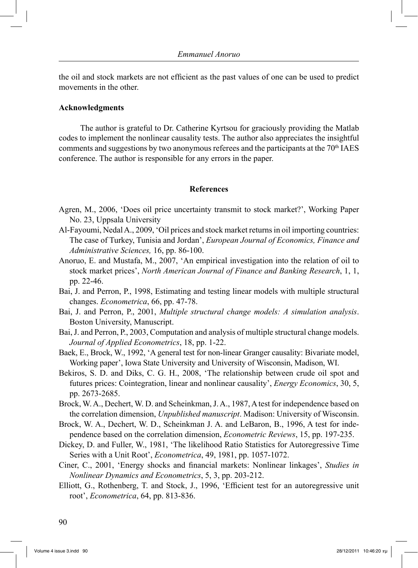the oil and stock markets are not efficient as the past values of one can be used to predict movements in the other.

#### **Acknowledgments**

 The author is grateful to Dr. Catherine Kyrtsou for graciously providing the Matlab codes to implement the nonlinear causality tests. The author also appreciates the insightful comments and suggestions by two anonymous referees and the participants at the  $70<sup>th</sup> IAES$ conference. The author is responsible for any errors in the paper.

#### **References**

- Agren, M., 2006, 'Does oil price uncertainty transmit to stock market?', Working Paper No. 23, Uppsala University
- Al-Fayoumi, Nedal A., 2009, 'Oil prices and stock market returns in oil importing countries: The case of Turkey, Tunisia and Jordan', *European Journal of Economics, Finance and Administrative Sciences,* 16, pp. 86-100.
- Anoruo, E. and Mustafa, M., 2007, 'An empirical investigation into the relation of oil to stock market prices', *North American Journal of Finance and Banking Research*, 1, 1, pp. 22-46.
- Bai, J. and Perron, P., 1998, Estimating and testing linear models with multiple structural changes. *Econometrica*, 66, pp. 47-78.
- Bai, J. and Perron, P., 2001, *Multiple structural change models: A simulation analysis*. Boston University, Manuscript.
- Bai, J. and Perron, P., 2003, Computation and analysis of multiple structural change models. *Journal of Applied Econometrics*, 18, pp. 1-22.
- Baek, E., Brock, W., 1992, 'A general test for non-linear Granger causality: Bivariate model, Working paper', Iowa State University and University of Wisconsin, Madison, WI.
- Bekiros, S. D. and Diks, C. G. H., 2008, 'The relationship between crude oil spot and futures prices: Cointegration, linear and nonlinear causality', *Energy Economics*, 30, 5, pp. 2673-2685.
- Brock, W. A., Dechert, W. D. and Scheinkman, J. A., 1987, A test for independence based on the correlation dimension, *Unpublished manuscript*. Madison: University of Wisconsin.
- Brock, W. A., Dechert, W. D., Scheinkman J. A. and LeBaron, B., 1996, A test for independence based on the correlation dimension, *Econometric Reviews*, 15, pp. 197-235.
- Dickey, D. and Fuller, W., 1981, 'The likelihood Ratio Statistics for Autoregressive Time Series with a Unit Root', *Econometrica*, 49, 1981, pp. 1057-1072.
- Ciner, C., 2001, 'Energy shocks and financial markets: Nonlinear linkages', *Studies in Nonlinear Dynamics and Econometrics*, 5, 3, pp. 203-212.
- Elliott, G., Rothenberg, T. and Stock, J., 1996, 'Efficient test for an autoregressive unit root', *Econometrica*, 64, pp. 813-836.

90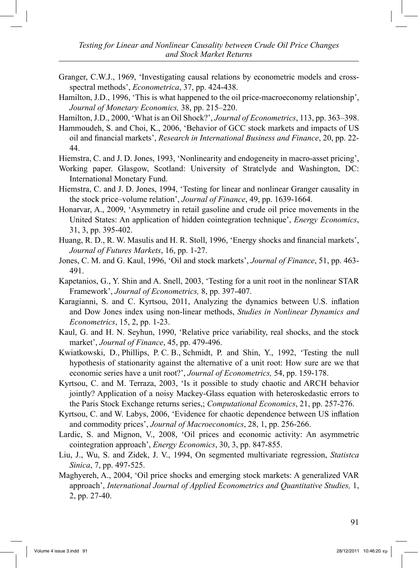- Granger, C.W.J., 1969, 'Investigating causal relations by econometric models and crossspectral methods', *Econometrica*, 37, pp. 424-438.
- Hamilton, J.D., 1996, 'This is what happened to the oil price-macroeconomy relationship', *Journal of Monetary Economics,* 38, pp. 215–220.

Hamilton, J.D., 2000, 'What is an Oil Shock?', *Journal of Econometrics*, 113, pp. 363–398.

Hammoudeh, S. and Choi, K., 2006, 'Behavior of GCC stock markets and impacts of US oil and financial markets', *Research in International Business and Finance*, 20, pp. 22- 44.

Hiemstra, C. and J. D. Jones, 1993, 'Nonlinearity and endogeneity in macro-asset pricing',

- Working paper. Glasgow, Scotland: University of Stratclyde and Washington, DC: International Monetary Fund.
- Hiemstra, C. and J. D. Jones, 1994, 'Testing for linear and nonlinear Granger causality in the stock price–volume relation', *Journal of Finance*, 49, pp. 1639-1664.
- Honarvar, A., 2009, 'Asymmetry in retail gasoline and crude oil price movements in the United States: An application of hidden cointegration technique', *Energy Economics*, 31, 3, pp. 395-402.
- Huang, R. D., R. W. Masulis and H. R. Stoll, 1996, 'Energy shocks and financial markets', *Journal of Futures Markets*, 16, pp. 1-27.
- Jones, C. M. and G. Kaul, 1996, 'Oil and stock markets', *Journal of Finance*, 51, pp. 463- 491.
- Kapetanios, G., Y. Shin and A. Snell, 2003, 'Testing for a unit root in the nonlinear STAR Framework', *Journal of Econometrics,* 8, pp. 397-407.
- Karagianni, S. and C. Kyrtsou, 2011, Analyzing the dynamics between U.S. inflation and Dow Jones index using non-linear methods, *Studies in Nonlinear Dynamics and Econometrics*, 15, 2, pp. 1-23.
- Kaul, G. and H. N. Seyhun, 1990, 'Relative price variability, real shocks, and the stock market', *Journal of Finance*, 45, pp. 479-496.
- Kwiatkowski, D., Phillips, P. C. B., Schmidt, P. and Shin, Y., 1992, 'Testing the null hypothesis of stationarity against the alternative of a unit root: How sure are we that economic series have a unit root?', *Journal of Econometrics,* 54, pp. 159-178.
- Kyrtsou, C. and M. Terraza, 2003, 'Is it possible to study chaotic and ARCH behavior jointly? Application of a noisy Mackey-Glass equation with heteroskedastic errors to the Paris Stock Exchange returns series,; *Computational Economics*, 21, pp. 257-276.
- Kyrtsou, C. and W. Labys, 2006, 'Evidence for chaotic dependence between US inflation and commodity prices', *Journal of Macroeconomics*, 28, 1, pp. 256-266.
- Lardic, S. and Mignon, V., 2008, 'Oil prices and economic activity: An asymmetric cointegration approach', *Energy Economics*, 30, 3, pp. 847-855.
- Liu, J., Wu, S. and Zidek, J. V., 1994, On segmented multivariate regression, *Statistca Sinica*, 7, pp. 497-525.
- Maghyereh, A., 2004, 'Oil price shocks and emerging stock markets: A generalized VAR approach', *International Journal of Applied Econometrics and Quantitative Studies,* 1, 2, pp. 27-40.